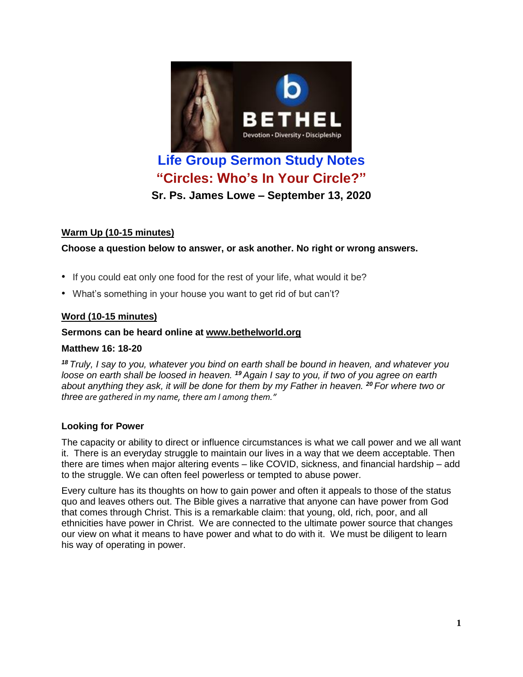

# **"Circles: Who's In Your Circle?"**

**Sr. Ps. James Lowe – September 13, 2020**

## **Warm Up (10-15 minutes)**

### **Choose a question below to answer, or ask another. No right or wrong answers.**

- If you could eat only one food for the rest of your life, what would it be?
- What's something in your house you want to get rid of but can't?

## **Word (10-15 minutes)**

#### **Sermons can be heard online at [www.bethelworld.org](http://www.bethelworld.org/)**

### **Matthew 16: 18-20**

<sup>18</sup> Truly, I say to you, whatever you bind on earth shall be bound in heaven, and whatever you loose on earth shall be loosed in heaven. <sup>19</sup> Again I say to you, if two of you agree on earth about anything they ask, it will be done for them by my Father in heaven. <sup>20</sup> For where two or *three are gathered in my name, there am I among them."*

### **Looking for Power**

The capacity or ability to direct or influence circumstances is what we call power and we all want it. There is an everyday struggle to maintain our lives in a way that we deem acceptable. Then there are times when major altering events – like COVID, sickness, and financial hardship – add to the struggle. We can often feel powerless or tempted to abuse power.

Every culture has its thoughts on how to gain power and often it appeals to those of the status quo and leaves others out. The Bible gives a narrative that anyone can have power from God that comes through Christ. This is a remarkable claim: that young, old, rich, poor, and all ethnicities have power in Christ. We are connected to the ultimate power source that changes our view on what it means to have power and what to do with it. We must be diligent to learn his way of operating in power.